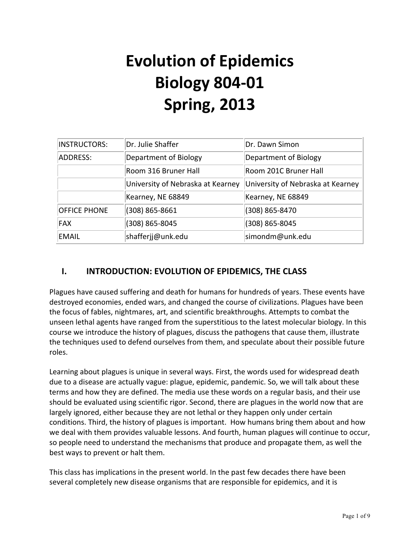# **Evolution of Epidemics Biology 804-01 Spring, 2013**

| <b>INSTRUCTORS:</b> | Dr. Julie Shaffer                 | Dr. Dawn Simon                    |  |
|---------------------|-----------------------------------|-----------------------------------|--|
| ADDRESS:            | Department of Biology             | Department of Biology             |  |
|                     | Room 316 Bruner Hall              | Room 201C Bruner Hall             |  |
|                     | University of Nebraska at Kearney | University of Nebraska at Kearney |  |
|                     | Kearney, NE 68849                 | Kearney, NE 68849                 |  |
| <b>OFFICE PHONE</b> | (308) 865-8661                    | (308) 865-8470                    |  |
| <b>FAX</b>          | (308) 865-8045                    | (308) 865-8045                    |  |
| EMAIL               | shafferjj@unk.edu                 | simondm@unk.edu                   |  |

# **I. INTRODUCTION: EVOLUTION OF EPIDEMICS, THE CLASS**

Plagues have caused suffering and death for humans for hundreds of years. These events have destroyed economies, ended wars, and changed the course of civilizations. Plagues have been the focus of fables, nightmares, art, and scientific breakthroughs. Attempts to combat the unseen lethal agents have ranged from the superstitious to the latest molecular biology. In this course we introduce the history of plagues, discuss the pathogens that cause them, illustrate the techniques used to defend ourselves from them, and speculate about their possible future roles. 

Learning about plagues is unique in several ways. First, the words used for widespread death due to a disease are actually vague: plague, epidemic, pandemic. So, we will talk about these terms and how they are defined. The media use these words on a regular basis, and their use should be evaluated using scientific rigor. Second, there are plagues in the world now that are largely ignored, either because they are not lethal or they happen only under certain conditions. Third, the history of plagues is important. How humans bring them about and how we deal with them provides valuable lessons. And fourth, human plagues will continue to occur, so people need to understand the mechanisms that produce and propagate them, as well the best ways to prevent or halt them.

This class has implications in the present world. In the past few decades there have been several completely new disease organisms that are responsible for epidemics, and it is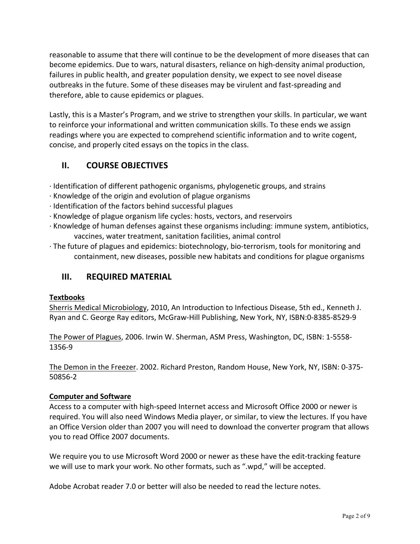reasonable to assume that there will continue to be the development of more diseases that can become epidemics. Due to wars, natural disasters, reliance on high-density animal production, failures in public health, and greater population density, we expect to see novel disease outbreaks in the future. Some of these diseases may be virulent and fast-spreading and therefore, able to cause epidemics or plagues.

Lastly, this is a Master's Program, and we strive to strengthen your skills. In particular, we want to reinforce your informational and written communication skills. To these ends we assign readings where you are expected to comprehend scientific information and to write cogent, concise, and properly cited essays on the topics in the class.

# **II. COURSE OBJECTIVES**

- $\cdot$  Identification of different pathogenic organisms, phylogenetic groups, and strains
- $\cdot$  Knowledge of the origin and evolution of plague organisms
- $\cdot$  Identification of the factors behind successful plagues
- $\cdot$  Knowledge of plague organism life cycles: hosts, vectors, and reservoirs
- $\cdot$  Knowledge of human defenses against these organisms including: immune system, antibiotics, vaccines, water treatment, sanitation facilities, animal control
- $\cdot$  The future of plagues and epidemics: biotechnology, bio-terrorism, tools for monitoring and containment, new diseases, possible new habitats and conditions for plague organisms

# **III.** REQUIRED MATERIAL

#### **Textbooks**

Sherris Medical Microbiology, 2010, An Introduction to Infectious Disease, 5th ed., Kenneth J. Ryan and C. George Ray editors, McGraw-Hill Publishing, New York, NY, ISBN:0-8385-8529-9

The Power of Plagues, 2006. Irwin W. Sherman, ASM Press, Washington, DC, ISBN: 1-5558-1356-9

The Demon in the Freezer. 2002. Richard Preston, Random House, New York, NY, ISBN: 0-375-50856-2

#### **Computer and Software**

Access to a computer with high-speed Internet access and Microsoft Office 2000 or newer is required. You will also need Windows Media player, or similar, to view the lectures. If you have an Office Version older than 2007 you will need to download the converter program that allows you to read Office 2007 documents.

We require you to use Microsoft Word 2000 or newer as these have the edit-tracking feature we will use to mark your work. No other formats, such as ".wpd," will be accepted.

Adobe Acrobat reader 7.0 or better will also be needed to read the lecture notes.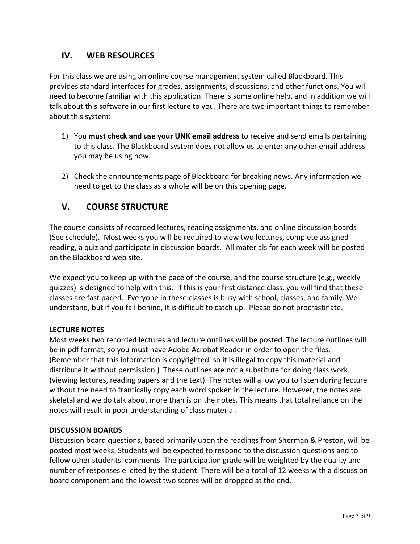## **IV. WEB RESOURCES**

For this class we are using an online course management system called Blackboard. This provides standard interfaces for grades, assignments, discussions, and other functions. You will need to become familiar with this application. There is some online help, and in addition we will talk about this software in our first lecture to you. There are two important things to remember about this system:

- 1) You must check and use your UNK email address to receive and send emails pertaining to this class. The Blackboard system does not allow us to enter any other email address you may be using now.
- 2) Check the announcements page of Blackboard for breaking news. Any information we need to get to the class as a whole will be on this opening page.

# **V. COURSE STRUCTURE**

The course consists of recorded lectures, reading assignments, and online discussion boards (See schedule). Most weeks you will be required to view two lectures, complete assigned reading, a quiz and participate in discussion boards. All materials for each week will be posted on the Blackboard web site.

We expect you to keep up with the pace of the course, and the course structure (e.g., weekly quizzes) is designed to help with this. If this is your first distance class, you will find that these classes are fast paced. Everyone in these classes is busy with school, classes, and family. We understand, but if you fall behind, it is difficult to catch up. Please do not procrastinate.

#### **LECTURE NOTES**

Most weeks two recorded lectures and lecture outlines will be posted. The lecture outlines will be in pdf format, so you must have Adobe Acrobat Reader in order to open the files. (Remember that this information is copyrighted, so it is illegal to copy this material and distribute it without permission.) These outlines are not a substitute for doing class work (viewing lectures, reading papers and the text). The notes will allow you to listen during lecture without the need to frantically copy each word spoken in the lecture. However, the notes are skeletal and we do talk about more than is on the notes. This means that total reliance on the notes will result in poor understanding of class material.

#### **DISCUSSION BOARDS**

Discussion board questions, based primarily upon the readings from Sherman & Preston, will be posted most weeks. Students will be expected to respond to the discussion questions and to fellow other students' comments. The participation grade will be weighted by the quality and number of responses elicited by the student. There will be a total of 12 weeks with a discussion board component and the lowest two scores will be dropped at the end.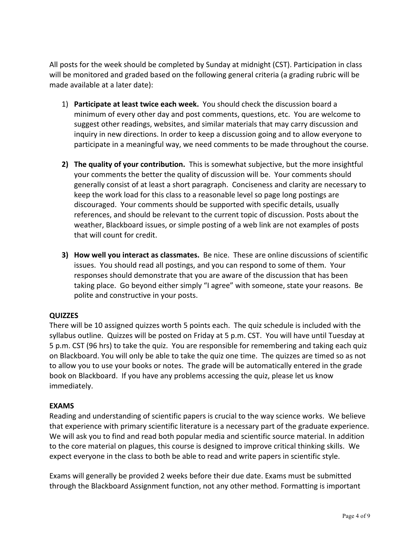All posts for the week should be completed by Sunday at midnight (CST). Participation in class will be monitored and graded based on the following general criteria (a grading rubric will be made available at a later date):

- 1) **Participate at least twice each week.** You should check the discussion board a minimum of every other day and post comments, questions, etc. You are welcome to suggest other readings, websites, and similar materials that may carry discussion and inquiry in new directions. In order to keep a discussion going and to allow everyone to participate in a meaningful way, we need comments to be made throughout the course.
- **2) The quality of your contribution.** This is somewhat subjective, but the more insightful your comments the better the quality of discussion will be. Your comments should generally consist of at least a short paragraph. Conciseness and clarity are necessary to keep the work load for this class to a reasonable level so page long postings are discouraged. Your comments should be supported with specific details, usually references, and should be relevant to the current topic of discussion. Posts about the weather, Blackboard issues, or simple posting of a web link are not examples of posts that will count for credit.
- **3) How well you interact as classmates.** Be nice. These are online discussions of scientific issues. You should read all postings, and you can respond to some of them. Your responses should demonstrate that you are aware of the discussion that has been taking place. Go beyond either simply "I agree" with someone, state your reasons. Be polite and constructive in your posts.

#### **QUIZZES**

There will be 10 assigned quizzes worth 5 points each. The quiz schedule is included with the syllabus outline. Quizzes will be posted on Friday at 5 p.m. CST. You will have until Tuesday at 5 p.m. CST (96 hrs) to take the quiz. You are responsible for remembering and taking each quiz on Blackboard. You will only be able to take the quiz one time. The quizzes are timed so as not to allow you to use your books or notes. The grade will be automatically entered in the grade book on Blackboard. If you have any problems accessing the quiz, please let us know immediately.

#### **EXAMS**

Reading and understanding of scientific papers is crucial to the way science works. We believe that experience with primary scientific literature is a necessary part of the graduate experience. We will ask you to find and read both popular media and scientific source material. In addition to the core material on plagues, this course is designed to improve critical thinking skills. We expect everyone in the class to both be able to read and write papers in scientific style.

Exams will generally be provided 2 weeks before their due date. Exams must be submitted through the Blackboard Assignment function, not any other method. Formatting is important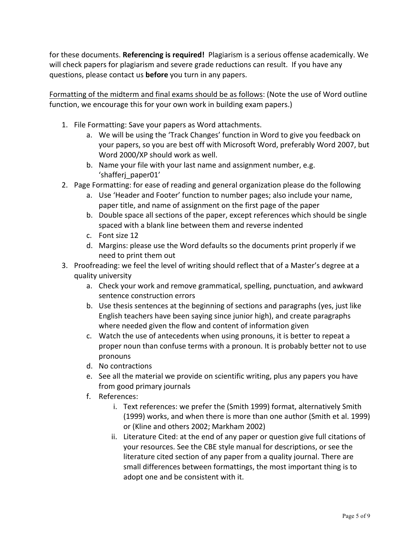for these documents. **Referencing is required!** Plagiarism is a serious offense academically. We will check papers for plagiarism and severe grade reductions can result. If you have any questions, please contact us **before** you turn in any papers.

Formatting of the midterm and final exams should be as follows: (Note the use of Word outline function, we encourage this for your own work in building exam papers.)

- 1. File Formatting: Save your papers as Word attachments.
	- a. We will be using the 'Track Changes' function in Word to give you feedback on your papers, so you are best off with Microsoft Word, preferably Word 2007, but Word 2000/XP should work as well.
	- b. Name your file with your last name and assignment number, e.g. 'shafferj\_paper01'
- 2. Page Formatting: for ease of reading and general organization please do the following
	- a. Use 'Header and Footer' function to number pages; also include your name, paper title, and name of assignment on the first page of the paper
	- b. Double space all sections of the paper, except references which should be single spaced with a blank line between them and reverse indented
	- c. Font size 12
	- d. Margins: please use the Word defaults so the documents print properly if we need to print them out
- 3. Proofreading: we feel the level of writing should reflect that of a Master's degree at a quality university
	- a. Check your work and remove grammatical, spelling, punctuation, and awkward sentence construction errors
	- b. Use thesis sentences at the beginning of sections and paragraphs (yes, just like English teachers have been saying since junior high), and create paragraphs where needed given the flow and content of information given
	- c. Watch the use of antecedents when using pronouns, it is better to repeat a proper noun than confuse terms with a pronoun. It is probably better not to use pronouns
	- d. No contractions
	- e. See all the material we provide on scientific writing, plus any papers you have from good primary journals
	- f. References:
		- i. Text references: we prefer the (Smith 1999) format, alternatively Smith (1999) works, and when there is more than one author (Smith et al. 1999) or (Kline and others 2002; Markham 2002)
		- ii. Literature Cited: at the end of any paper or question give full citations of your resources. See the CBE style manual for descriptions, or see the literature cited section of any paper from a quality journal. There are small differences between formattings, the most important thing is to adopt one and be consistent with it.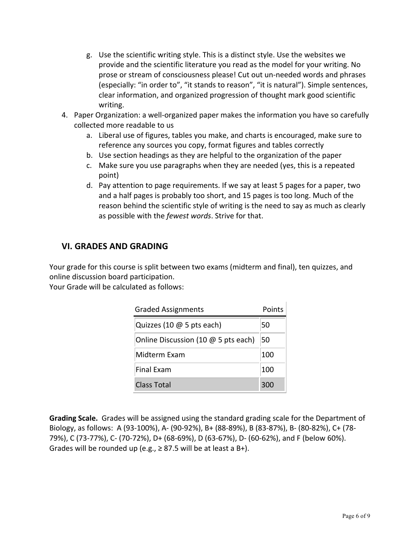- g. Use the scientific writing style. This is a distinct style. Use the websites we provide and the scientific literature you read as the model for your writing. No prose or stream of consciousness please! Cut out un-needed words and phrases (especially: "in order to", "it stands to reason", "it is natural"). Simple sentences, clear information, and organized progression of thought mark good scientific writing.
- 4. Paper Organization: a well-organized paper makes the information you have so carefully collected more readable to us
	- a. Liberal use of figures, tables you make, and charts is encouraged, make sure to reference any sources you copy, format figures and tables correctly
	- b. Use section headings as they are helpful to the organization of the paper
	- c. Make sure you use paragraphs when they are needed (yes, this is a repeated point)
	- d. Pay attention to page requirements. If we say at least 5 pages for a paper, two and a half pages is probably too short, and 15 pages is too long. Much of the reason behind the scientific style of writing is the need to say as much as clearly as possible with the *fewest words*. Strive for that.

 $\mathbf{L}$ 

# **VI. GRADES AND GRADING**

Your grade for this course is split between two exams (midterm and final), ten quizzes, and online discussion board participation.

Your Grade will be calculated as follows:

| <b>Graded Assignments</b>           | Points |
|-------------------------------------|--------|
| Quizzes (10 $@$ 5 pts each)         | 50     |
| Online Discussion (10 @ 5 pts each) | 50     |
| Midterm Exam                        | 100    |
| <b>Final Exam</b>                   | 100    |
| <b>Class Total</b>                  | 300    |

**Grading Scale.** Grades will be assigned using the standard grading scale for the Department of Biology, as follows: A (93-100%), A- (90-92%), B+ (88-89%), B (83-87%), B- (80-82%), C+ (78-79%), C (73-77%), C- (70-72%), D+ (68-69%), D (63-67%), D- (60-62%), and F (below 60%). Grades will be rounded up (e.g.,  $\geq 87.5$  will be at least a B+).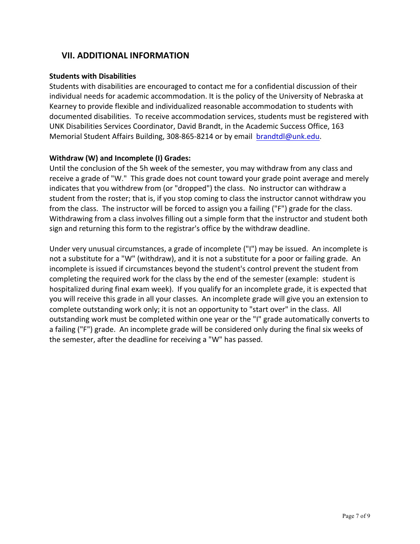### **VII. ADDITIONAL INFORMATION**

#### **Students with Disabilities**

Students with disabilities are encouraged to contact me for a confidential discussion of their individual needs for academic accommodation. It is the policy of the University of Nebraska at Kearney to provide flexible and individualized reasonable accommodation to students with documented disabilities. To receive accommodation services, students must be registered with UNK Disabilities Services Coordinator, David Brandt, in the Academic Success Office, 163 Memorial Student Affairs Building, 308-865-8214 or by email brandtdl@unk.edu.

#### **Withdraw (W) and Incomplete (I) Grades:**

Until the conclusion of the 5h week of the semester, you may withdraw from any class and receive a grade of "W." This grade does not count toward your grade point average and merely indicates that you withdrew from (or "dropped") the class. No instructor can withdraw a student from the roster; that is, if you stop coming to class the instructor cannot withdraw you from the class. The instructor will be forced to assign you a failing ("F") grade for the class. Withdrawing from a class involves filling out a simple form that the instructor and student both sign and returning this form to the registrar's office by the withdraw deadline.

Under very unusual circumstances, a grade of incomplete ("I") may be issued. An incomplete is not a substitute for a "W" (withdraw), and it is not a substitute for a poor or failing grade. An incomplete is issued if circumstances beyond the student's control prevent the student from completing the required work for the class by the end of the semester (example: student is hospitalized during final exam week). If you qualify for an incomplete grade, it is expected that you will receive this grade in all your classes. An incomplete grade will give you an extension to complete outstanding work only; it is not an opportunity to "start over" in the class. All outstanding work must be completed within one year or the "I" grade automatically converts to a failing ("F") grade. An incomplete grade will be considered only during the final six weeks of the semester, after the deadline for receiving a "W" has passed.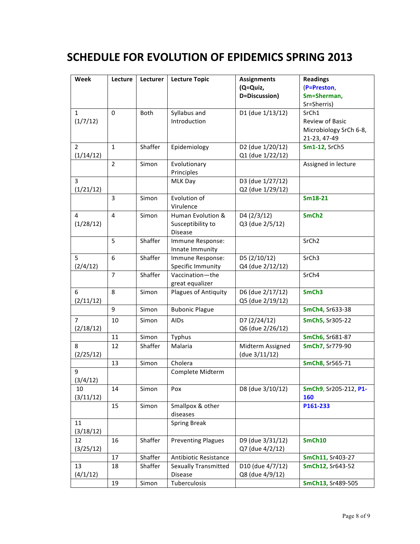# **SCHEDULE FOR EVOLUTION OF EPIDEMICS SPRING 2013**

| Week           | Lecture        | Lecturer | <b>Lecture Topic</b>                  | <b>Assignments</b> | <b>Readings</b>        |
|----------------|----------------|----------|---------------------------------------|--------------------|------------------------|
|                |                |          |                                       | (Q=Quiz,           | (P=Preston,            |
|                |                |          |                                       | D=Discussion)      | Sm=Sherman,            |
|                |                |          |                                       |                    | Sr=Sherris)            |
| $\mathbf{1}$   | $\Omega$       | Both     | Syllabus and                          | D1 (due 1/13/12)   | SrCh1                  |
| (1/7/12)       |                |          | Introduction                          |                    | Review of Basic        |
|                |                |          |                                       |                    | Microbiology SrCh 6-8, |
|                |                |          |                                       |                    | 21-23, 47-49           |
| $\overline{2}$ | $\mathbf{1}$   | Shaffer  | Epidemiology                          | D2 (due 1/20/12)   | Sm1-12, SrCh5          |
| (1/14/12)      |                |          |                                       | Q1 (due 1/22/12)   |                        |
|                | $\overline{2}$ | Simon    | Evolutionary                          |                    | Assigned in lecture    |
|                |                |          | Principles                            |                    |                        |
| 3              |                |          | MLK Day                               | D3 (due 1/27/12)   |                        |
| (1/21/12)      |                |          |                                       | Q2 (due 1/29/12)   |                        |
|                | 3              | Simon    | Evolution of                          |                    | Sm18-21                |
|                |                |          | Virulence                             |                    |                        |
| 4              | 4              | Simon    | Human Evolution &                     | D4 (2/3/12)        | SmCh <sub>2</sub>      |
| (1/28/12)      |                |          | Susceptibility to                     | Q3 (due 2/5/12)    |                        |
|                |                |          | <b>Disease</b>                        |                    |                        |
|                | 5              | Shaffer  | Immune Response:                      |                    | SrCh <sub>2</sub>      |
| 5              | 6              |          | Innate Immunity                       |                    |                        |
|                |                | Shaffer  | Immune Response:<br>Specific Immunity | D5 (2/10/12)       | SrCh <sub>3</sub>      |
| (2/4/12)       | $\overline{7}$ | Shaffer  | Vaccination-the                       | Q4 (due 2/12/12)   | SrCh4                  |
|                |                |          | great equalizer                       |                    |                        |
| 6              | 8              | Simon    | Plagues of Antiquity                  | D6 (due 2/17/12)   | SmCh <sub>3</sub>      |
| (2/11/12)      |                |          |                                       | Q5 (due 2/19/12)   |                        |
|                | 9              | Simon    | <b>Bubonic Plague</b>                 |                    | SmCh4, Sr633-38        |
| $\overline{7}$ | 10             | Simon    | AIDs                                  | D7 (2/24/12)       | SmCh5, Sr305-22        |
| (2/18/12)      |                |          |                                       | Q6 (due 2/26/12)   |                        |
|                | 11             | Simon    | Typhus                                |                    | SmCh6, Sr681-87        |
| 8              | 12             | Shaffer  | Malaria                               | Midterm Assigned   | SmCh7, Sr779-90        |
| (2/25/12)      |                |          |                                       | (due 3/11/12)      |                        |
|                | 13             | Simon    | Cholera                               |                    | SmCh8, Sr565-71        |
| 9              |                |          | Complete Midterm                      |                    |                        |
| (3/4/12)       |                |          |                                       |                    |                        |
| 10             | 14             | Simon    | Pox                                   | D8 (due 3/10/12)   | SmCh9, Sr205-212, P1-  |
| (3/11/12)      |                |          |                                       |                    | 160                    |
|                | 15             | Simon    | Smallpox & other                      |                    | P161-233               |
|                |                |          | diseases                              |                    |                        |
| 11             |                |          | <b>Spring Break</b>                   |                    |                        |
| (3/18/12)      |                |          |                                       |                    |                        |
| 12             | 16             | Shaffer  | <b>Preventing Plagues</b>             | D9 (due 3/31/12)   | SmCh10                 |
| (3/25/12)      |                |          |                                       | Q7 (due 4/2/12)    |                        |
|                | 17             | Shaffer  | Antibiotic Resistance                 |                    | SmCh11, Sr403-27       |
| 13             | 18             | Shaffer  | <b>Sexually Transmitted</b>           | D10 (due 4/7/12)   | SmCh12, Sr643-52       |
| (4/1/12)       |                |          | Disease                               | Q8 (due 4/9/12)    |                        |
|                | 19             | Simon    | Tuberculosis                          |                    | SmCh13, Sr489-505      |